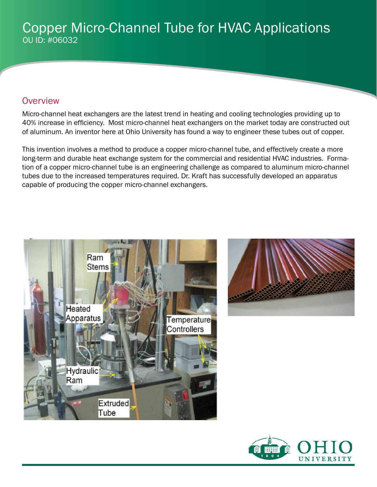## Copper Micro-Channel Tube for HVAC Applications OU ID: #06032

### **Overview**

Micro-channel heat exchangers are the latest trend in heating and cooling technologies providing up to 40% increase in efficiency. Most micro-channel heat exchangers on the market today are constructed out of aluminum. An inventor here at Ohio University has found a way to engineer these tubes out of copper.

This invention involves a method to produce a copper micro-channel tube, and effectively create a more long-term and durable heat exchange system for the commercial and residential HVAC industries. Formation of a copper micro-channel tube is an engineering challenge as compared to aluminum micro-channel tubes due to the increased temperatures required. Dr. Kraft has successfully developed an apparatus capable of producing the copper micro-channel exchangers.